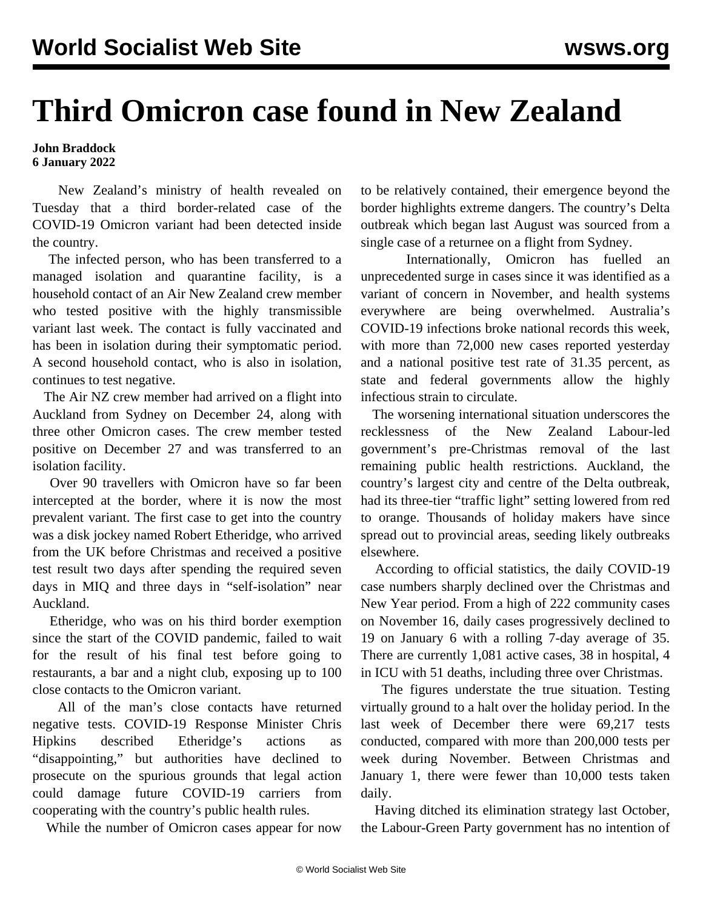## **Third Omicron case found in New Zealand**

## **John Braddock 6 January 2022**

 New Zealand's ministry of health revealed on Tuesday that a third border-related case of the COVID-19 Omicron variant had been detected inside the country.

 The infected person, who has been transferred to a managed isolation and quarantine facility, is a household contact of an Air New Zealand crew member who tested positive with the highly transmissible variant last week. The contact is fully vaccinated and has been in isolation during their symptomatic period. A second household contact, who is also in isolation, continues to test negative.

 The Air NZ crew member had arrived on a flight into Auckland from Sydney on December 24, along with three other Omicron cases. The crew member tested positive on December 27 and was transferred to an isolation facility.

 Over 90 travellers with Omicron have so far been intercepted at the border, where it is now the most prevalent variant. The first case to get into the country was a disk jockey named Robert Etheridge, who arrived from the UK before Christmas and received a positive test result two days after spending the required seven days in MIQ and three days in "self-isolation" near Auckland.

 Etheridge, who was on his third border exemption since the start of the COVID pandemic, failed to wait for the result of his final test before going to restaurants, a bar and a night club, exposing up to 100 close contacts to the Omicron variant.

 All of the man's close contacts have returned negative tests. COVID-19 Response Minister Chris Hipkins described Etheridge's actions as "disappointing," but authorities have declined to prosecute on the spurious grounds that legal action could damage future COVID-19 carriers from cooperating with the country's public health rules.

While the number of Omicron cases appear for now

to be relatively contained, their emergence beyond the border highlights extreme dangers. The country's Delta outbreak which began last August was sourced from a single case of a returnee on a flight from Sydney.

 Internationally, Omicron has fuelled an unprecedented surge in cases since it was identified as a variant of concern in November, and health systems everywhere are being overwhelmed. Australia's COVID-19 infections broke national records this week, with more than 72,000 new cases reported yesterday and a national positive test rate of 31.35 percent, as state and federal governments allow the highly infectious strain to circulate.

 The worsening international situation underscores the recklessness of the New Zealand Labour-led government's pre-Christmas removal of the last remaining public health restrictions. Auckland, the country's largest city and centre of the Delta outbreak, had its three-tier "traffic light" setting lowered from red to orange. Thousands of holiday makers have since spread out to provincial areas, seeding likely outbreaks elsewhere.

 According to official statistics, the daily COVID-19 case numbers sharply declined over the Christmas and New Year period. From a high of 222 community cases on November 16, daily cases progressively declined to 19 on January 6 with a rolling 7-day average of 35. There are currently 1,081 active cases, 38 in hospital, 4 in ICU with 51 deaths, including three over Christmas.

 The figures understate the true situation. Testing virtually ground to a halt over the holiday period. In the last week of December there were 69,217 tests conducted, compared with more than 200,000 tests per week during November. Between Christmas and January 1, there were fewer than 10,000 tests taken daily.

 Having ditched its elimination strategy last October, the Labour-Green Party government has no intention of